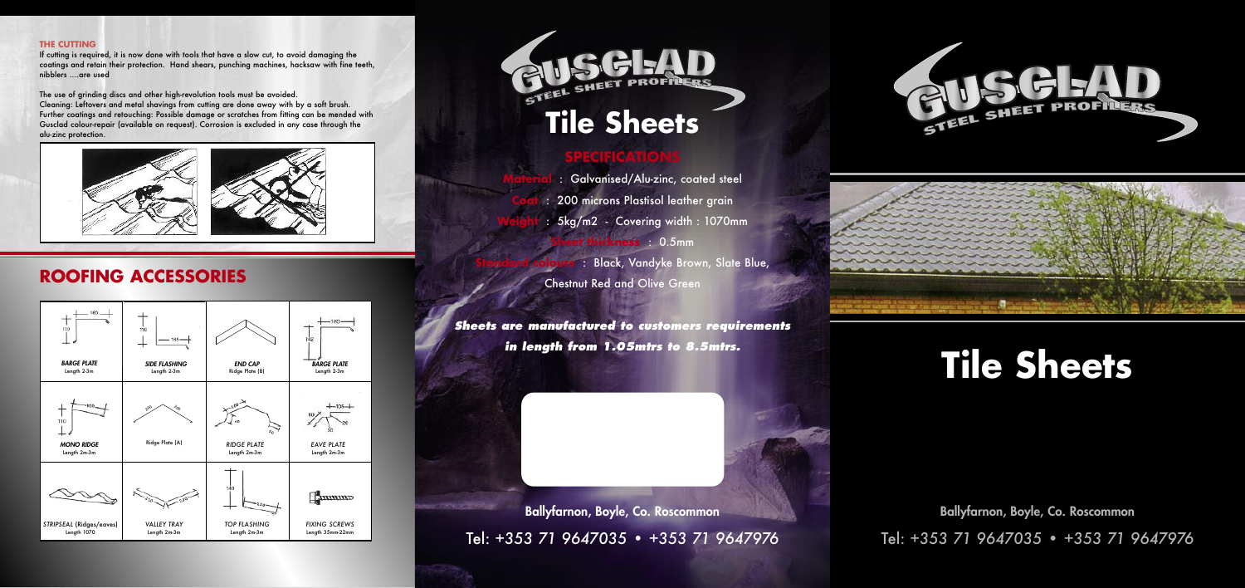## **SPECIFICATIONS**

**Material** : Galvanised/Alu-zinc, coated steel **Coat** : 200 microns Plastisol leather grain **Weight** : 5kg/m2 - Covering width : 1070mm **Sheet thickness** : 0.5mm **Standard colours** : Black, Vandyke Brown, Slate Blue, Chestnut Red and Olive Green

*Sheets are manufactured to customers requirements in length from 1.05mtrs to 8.5mtrs.*

**Ballyfarnon, Boyle, Co. Roscommon** Tel: *+353 71 9647035* • *+353 71 9647976* **Ballyfarnon, Boyle, Co. Roscommon**

Tel: *+353 71 9647035* • *+353 71 9647976*







## **ROOFING ACCESSORIES**

#### **THE CUTTING**



If cutting is required, it is now done with tools that have a slow cut, to avoid damaging the coatings and retain their protection. Hand shears, punching machines, hacksaw with fine teeth, nibblers ....are used

The use of grinding discs and other high-revolution tools must be avoided. Cleaning: Leftovers and metal shavings from cutting are done away with by a soft brush. Further coatings and retouching: Possible damage or scratches from fitting can be mended with Gusclad colour-repair (available on request). Corrosion is excluded in any case through the alu-zinc protection.



# **Tile Sheets**

# **Tile Sheets**